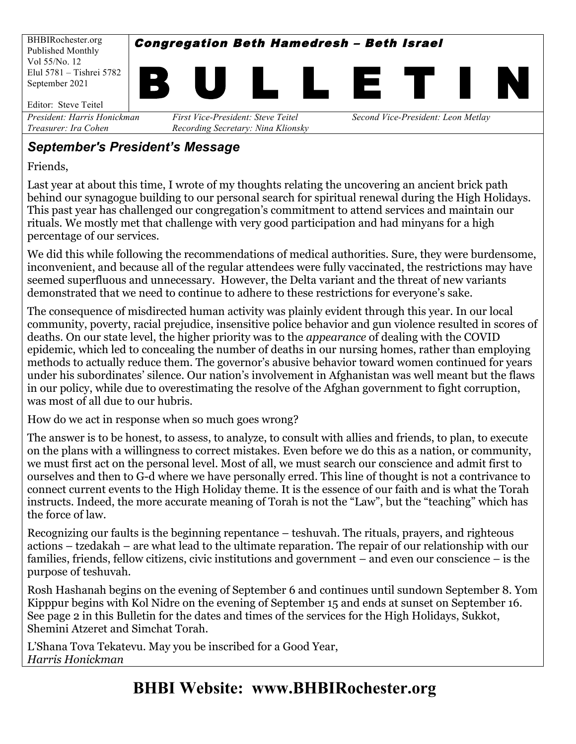

### *September's President's Message*

Friends,

Last year at about this time, I wrote of my thoughts relating the uncovering an ancient brick path behind our synagogue building to our personal search for spiritual renewal during the High Holidays. This past year has challenged our congregation's commitment to attend services and maintain our rituals. We mostly met that challenge with very good participation and had minyans for a high percentage of our services.

We did this while following the recommendations of medical authorities. Sure, they were burdensome, inconvenient, and because all of the regular attendees were fully vaccinated, the restrictions may have seemed superfluous and unnecessary. However, the Delta variant and the threat of new variants demonstrated that we need to continue to adhere to these restrictions for everyone's sake.

The consequence of misdirected human activity was plainly evident through this year. In our local community, poverty, racial prejudice, insensitive police behavior and gun violence resulted in scores of deaths. On our state level, the higher priority was to the *appearance* of dealing with the COVID epidemic, which led to concealing the number of deaths in our nursing homes, rather than employing methods to actually reduce them. The governor's abusive behavior toward women continued for years under his subordinates' silence. Our nation's involvement in Afghanistan was well meant but the flaws in our policy, while due to overestimating the resolve of the Afghan government to fight corruption, was most of all due to our hubris.

How do we act in response when so much goes wrong?

The answer is to be honest, to assess, to analyze, to consult with allies and friends, to plan, to execute on the plans with a willingness to correct mistakes. Even before we do this as a nation, or community, we must first act on the personal level. Most of all, we must search our conscience and admit first to ourselves and then to G-d where we have personally erred. This line of thought is not a contrivance to connect current events to the High Holiday theme. It is the essence of our faith and is what the Torah instructs. Indeed, the more accurate meaning of Torah is not the "Law", but the "teaching" which has the force of law.

Recognizing our faults is the beginning repentance – teshuvah. The rituals, prayers, and righteous actions – tzedakah – are what lead to the ultimate reparation. The repair of our relationship with our families, friends, fellow citizens, civic institutions and government – and even our conscience – is the purpose of teshuvah.

Rosh Hashanah begins on the evening of September 6 and continues until sundown September 8. Yom Kipppur begins with Kol Nidre on the evening of September 15 and ends at sunset on September 16. See page 2 in this Bulletin for the dates and times of the services for the High Holidays, Sukkot, Shemini Atzeret and Simchat Torah.

L'Shana Tova Tekatevu. May you be inscribed for a Good Year, *Harris Honickman*

# **BHBI Website: www.BHBIRochester.org**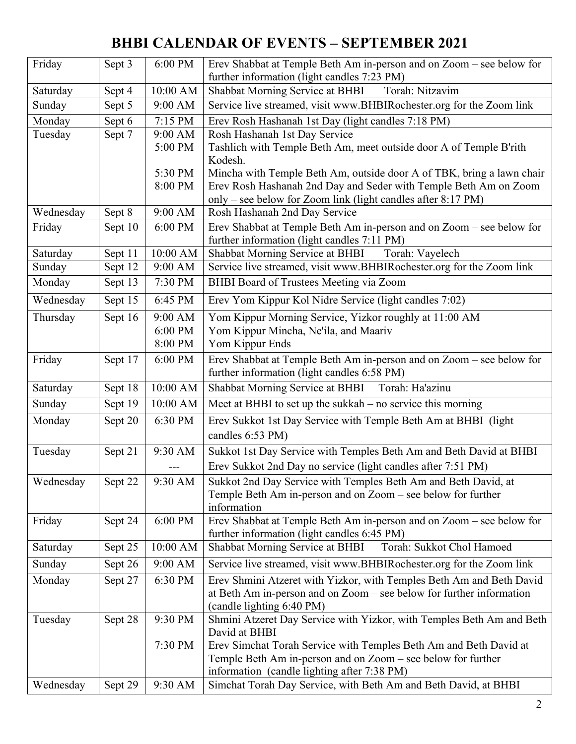# **BHBI CALENDAR OF EVENTS – SEPTEMBER 2021**

| Friday    | Sept 3  | 6:00 PM  | Erev Shabbat at Temple Beth Am in-person and on Zoom - see below for<br>further information (light candles 7:23 PM)                           |  |  |  |
|-----------|---------|----------|-----------------------------------------------------------------------------------------------------------------------------------------------|--|--|--|
| Saturday  | Sept 4  | 10:00 AM | Shabbat Morning Service at BHBI<br>Torah: Nitzavim                                                                                            |  |  |  |
| Sunday    | Sept 5  | 9:00 AM  | Service live streamed, visit www.BHBIRochester.org for the Zoom link                                                                          |  |  |  |
| Monday    | Sept 6  | 7:15 PM  | Erev Rosh Hashanah 1st Day (light candles 7:18 PM)                                                                                            |  |  |  |
| Tuesday   | Sept 7  | 9:00 AM  | Rosh Hashanah 1st Day Service                                                                                                                 |  |  |  |
|           |         | 5:00 PM  | Tashlich with Temple Beth Am, meet outside door A of Temple B'rith<br>Kodesh.                                                                 |  |  |  |
|           |         | 5:30 PM  | Mincha with Temple Beth Am, outside door A of TBK, bring a lawn chair                                                                         |  |  |  |
|           |         | 8:00 PM  | Erev Rosh Hashanah 2nd Day and Seder with Temple Beth Am on Zoom                                                                              |  |  |  |
| Wednesday | Sept 8  | 9:00 AM  | only – see below for Zoom link (light candles after 8:17 PM)<br>Rosh Hashanah 2nd Day Service                                                 |  |  |  |
| Friday    | Sept 10 | 6:00 PM  | Erev Shabbat at Temple Beth Am in-person and on Zoom - see below for                                                                          |  |  |  |
|           |         |          | further information (light candles 7:11 PM)                                                                                                   |  |  |  |
| Saturday  | Sept 11 | 10:00 AM | Shabbat Morning Service at BHBI<br>Torah: Vayelech                                                                                            |  |  |  |
| Sunday    | Sept 12 | 9:00 AM  | Service live streamed, visit www.BHBIRochester.org for the Zoom link                                                                          |  |  |  |
| Monday    | Sept 13 | 7:30 PM  | BHBI Board of Trustees Meeting via Zoom                                                                                                       |  |  |  |
| Wednesday | Sept 15 | 6:45 PM  | Erev Yom Kippur Kol Nidre Service (light candles 7:02)                                                                                        |  |  |  |
| Thursday  | Sept 16 | 9:00 AM  | Yom Kippur Morning Service, Yizkor roughly at 11:00 AM                                                                                        |  |  |  |
|           |         | 6:00 PM  | Yom Kippur Mincha, Ne'ila, and Maariv                                                                                                         |  |  |  |
|           |         | 8:00 PM  | Yom Kippur Ends                                                                                                                               |  |  |  |
| Friday    | Sept 17 | 6:00 PM  | Erev Shabbat at Temple Beth Am in-person and on Zoom - see below for<br>further information (light candles 6:58 PM)                           |  |  |  |
| Saturday  | Sept 18 | 10:00 AM | <b>Shabbat Morning Service at BHBI</b><br>Torah: Ha'azinu                                                                                     |  |  |  |
| Sunday    | Sept 19 | 10:00 AM | Meet at BHBI to set up the sukkah $-$ no service this morning                                                                                 |  |  |  |
| Monday    | Sept 20 | 6:30 PM  | Erev Sukkot 1st Day Service with Temple Beth Am at BHBI (light<br>candles 6:53 PM)                                                            |  |  |  |
| Tuesday   | Sept 21 | 9:30 AM  | Sukkot 1st Day Service with Temples Beth Am and Beth David at BHBI                                                                            |  |  |  |
|           |         |          | Erev Sukkot 2nd Day no service (light candles after 7:51 PM)                                                                                  |  |  |  |
| Wednesday | Sept 22 | 9:30 AM  | Sukkot 2nd Day Service with Temples Beth Am and Beth David, at<br>Temple Beth Am in-person and on Zoom – see below for further<br>information |  |  |  |
| Friday    | Sept 24 | 6:00 PM  | Erev Shabbat at Temple Beth Am in-person and on Zoom – see below for<br>further information (light candles 6:45 PM)                           |  |  |  |
| Saturday  | Sept 25 | 10:00 AM | Shabbat Morning Service at BHBI<br>Torah: Sukkot Chol Hamoed                                                                                  |  |  |  |
| Sunday    | Sept 26 | 9:00 AM  | Service live streamed, visit www.BHBIRochester.org for the Zoom link                                                                          |  |  |  |
| Monday    | Sept 27 | 6:30 PM  | Erev Shmini Atzeret with Yizkor, with Temples Beth Am and Beth David                                                                          |  |  |  |
|           |         |          | at Beth Am in-person and on Zoom – see below for further information<br>(candle lighting 6:40 PM)                                             |  |  |  |
| Tuesday   | Sept 28 | 9:30 PM  | Shmini Atzeret Day Service with Yizkor, with Temples Beth Am and Beth<br>David at BHBI                                                        |  |  |  |
|           |         | 7:30 PM  | Erev Simchat Torah Service with Temples Beth Am and Beth David at                                                                             |  |  |  |
|           |         |          | Temple Beth Am in-person and on Zoom – see below for further                                                                                  |  |  |  |
|           |         |          | information (candle lighting after 7:38 PM)                                                                                                   |  |  |  |
| Wednesday | Sept 29 | 9:30 AM  | Simchat Torah Day Service, with Beth Am and Beth David, at BHBI                                                                               |  |  |  |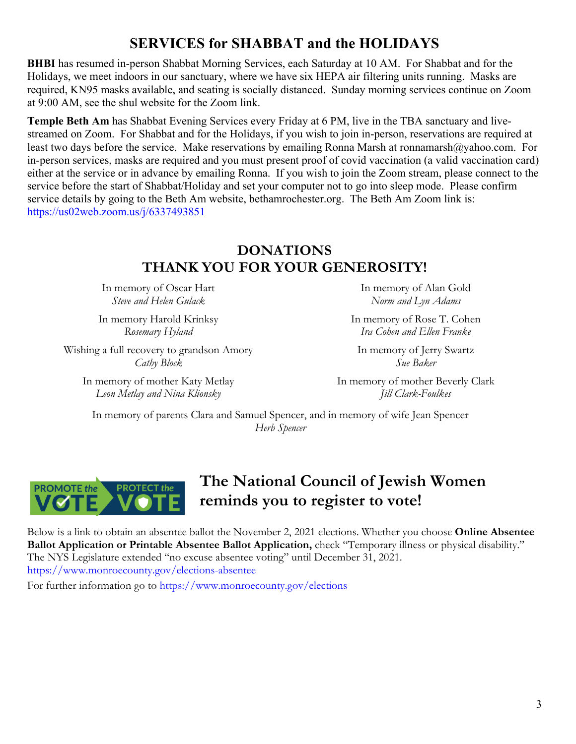## **SERVICES for SHABBAT and the HOLIDAYS**

**BHBI** has resumed in-person Shabbat Morning Services, each Saturday at 10 AM. For Shabbat and for the Holidays, we meet indoors in our sanctuary, where we have six HEPA air filtering units running. Masks are required, KN95 masks available, and seating is socially distanced. Sunday morning services continue on Zoom at 9:00 AM, see the shul website for the Zoom link.

**Temple Beth Am** has Shabbat Evening Services every Friday at 6 PM, live in the TBA sanctuary and livestreamed on Zoom. For Shabbat and for the Holidays, if you wish to join in-person, reservations are required at least two days before the service. Make reservations by emailing Ronna Marsh at ronnamarsh@yahoo.com. For in-person services, masks are required and you must present proof of covid vaccination (a valid vaccination card) either at the service or in advance by emailing Ronna. If you wish to join the Zoom stream, please connect to the service before the start of Shabbat/Holiday and set your computer not to go into sleep mode. Please confirm service details by going to the Beth Am website, bethamrochester.org. The Beth Am Zoom link is: https://us02web.zoom.us/j/6337493851

### **DONATIONS THANK YOU FOR YOUR GENEROSITY!**

In memory of Oscar Hart *Steve and Helen Gulack*

In memory Harold Krinksy *Rosemary Hyland*

Wishing a full recovery to grandson Amory *Cathy Block*

In memory of mother Katy Metlay *Leon Metlay and Nina Klionsky*

In memory of Alan Gold *Norm and Lyn Adams*

In memory of Rose T. Cohen *Ira Cohen and Ellen Franke*

In memory of Jerry Swartz *Sue Baker*

In memory of mother Beverly Clark *Jill Clark-Foulkes*

In memory of parents Clara and Samuel Spencer, and in memory of wife Jean Spencer *Herb Spencer*



## **The National Council of Jewish Women reminds you to register to vote!**

Below is a link to obtain an absentee ballot the November 2, 2021 elections. Whether you choose **Online Absentee Ballot Application or Printable Absentee Ballot Application, check "Temporary illness or physical disability."** The NYS Legislature extended "no excuse absentee voting" until December 31, 2021. https://www.monroecounty.gov/elections-absentee

For further information go to https://www.monroecounty.gov/elections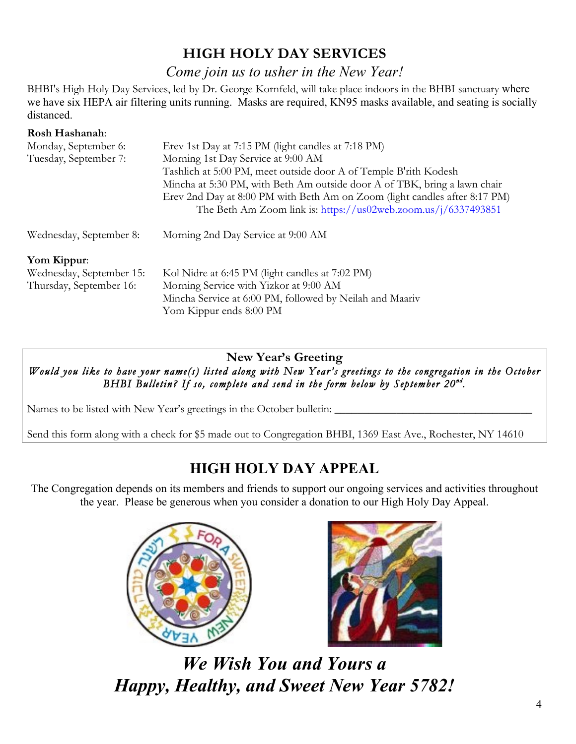### **HIGH HOLY DAY SERVICES**

#### *Come join us to usher in the New Year!*

BHBI's High Holy Day Services, led by Dr. George Kornfeld, will take place indoors in the BHBI sanctuary where we have six HEPA air filtering units running. Masks are required, KN95 masks available, and seating is socially distanced.

#### **Rosh Hashanah**:

| Monday, September 6:     | Erev 1st Day at 7:15 PM (light candles at 7:18 PM)                                                                                           |  |  |  |  |  |
|--------------------------|----------------------------------------------------------------------------------------------------------------------------------------------|--|--|--|--|--|
| Tuesday, September 7:    | Morning 1st Day Service at 9:00 AM                                                                                                           |  |  |  |  |  |
|                          | Tashlich at 5:00 PM, meet outside door A of Temple B'rith Kodesh                                                                             |  |  |  |  |  |
|                          | Mincha at 5:30 PM, with Beth Am outside door A of TBK, bring a lawn chair                                                                    |  |  |  |  |  |
|                          | Erev 2nd Day at 8:00 PM with Beth Am on Zoom (light candles after 8:17 PM)<br>The Beth Am Zoom link is: https://us02web.zoom.us/j/6337493851 |  |  |  |  |  |
| Wednesday, September 8:  | Morning 2nd Day Service at 9:00 AM                                                                                                           |  |  |  |  |  |
| Yom Kippur:              |                                                                                                                                              |  |  |  |  |  |
| Wednesday, September 15: | Kol Nidre at 6:45 PM (light candles at 7:02 PM)                                                                                              |  |  |  |  |  |
| Thursday, September 16:  | Morning Service with Yizkor at 9:00 AM                                                                                                       |  |  |  |  |  |
|                          | Mincha Service at 6:00 PM, followed by Neilah and Maariv                                                                                     |  |  |  |  |  |
|                          | Yom Kippur ends 8:00 PM                                                                                                                      |  |  |  |  |  |

#### **New Year's Greeting**

*Would you like to have your name(s) listed along with New Year's greetings to the congregation in the October BHBI Bulletin? If so, complete and send in the form below by September 20nd.* 

Names to be listed with New Year's greetings in the October bulletin: \_\_\_\_\_\_\_\_\_\_\_\_\_\_\_\_\_\_\_\_\_\_\_\_\_\_\_\_\_\_\_\_\_\_\_

Send this form along with a check for \$5 made out to Congregation BHBI, 1369 East Ave., Rochester, NY 14610

## **HIGH HOLY DAY APPEAL**

The Congregation depends on its members and friends to support our ongoing services and activities throughout the year. Please be generous when you consider a donation to our High Holy Day Appeal.





*We Wish You and Yours a Happy, Healthy, and Sweet New Year 5782!*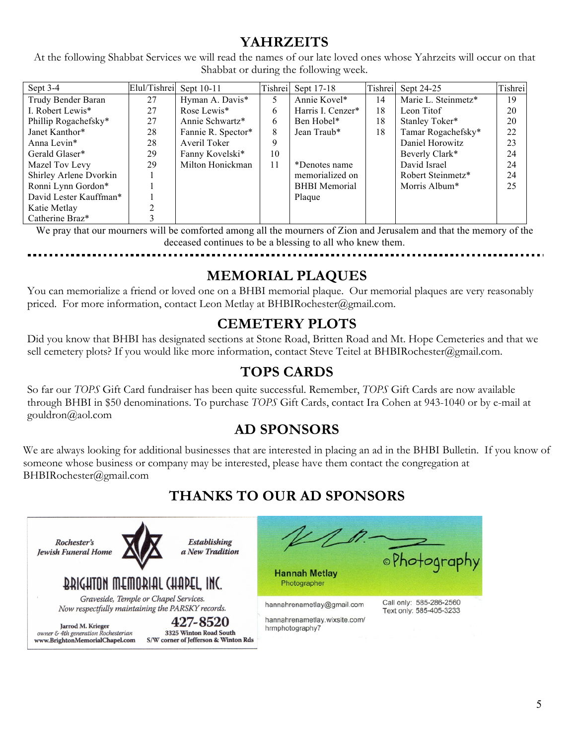### **YAHRZEITS**

At the following Shabbat Services we will read the names of our late loved ones whose Yahrzeits will occur on that Shabbat or during the following week.

| Sept $3-4$             | Elul/Tishrei | Sept 10-11         | Tishrei | Sept 17-18           | Tishrei | Sept 24-25          | Tishrei |
|------------------------|--------------|--------------------|---------|----------------------|---------|---------------------|---------|
| Trudy Bender Baran     | 27           | Hyman A. Davis*    | 5       | Annie Kovel*         | 14      | Marie L. Steinmetz* | 19      |
| I. Robert Lewis*       | 27           | Rose Lewis*        | 6       | Harris I. Cenzer*    | 18      | Leon Titof          | 20      |
| Phillip Rogachefsky*   | 27           | Annie Schwartz*    | 6       | Ben Hobel*           | 18      | Stanley Toker*      | 20      |
| Janet Kanthor*         | 28           | Fannie R. Spector* | 8       | Jean Traub*          | 18      | Tamar Rogachefsky*  | 22      |
| Anna Levin*            | 28           | Averil Toker       | 9       |                      |         | Daniel Horowitz     | 23      |
| Gerald Glaser*         | 29           | Fanny Kovelski*    | 10      |                      |         | Beverly Clark*      | 24      |
| Mazel Tov Levy         | 29           | Milton Honickman   | 11      | *Denotes name        |         | David Israel        | 24      |
| Shirley Arlene Dvorkin |              |                    |         | memorialized on      |         | Robert Steinmetz*   | 24      |
| Ronni Lynn Gordon*     |              |                    |         | <b>BHBI</b> Memorial |         | Morris Album*       | 25      |
| David Lester Kauffman* |              |                    |         | Plaque               |         |                     |         |
| Katie Metlay           |              |                    |         |                      |         |                     |         |
| Catherine Braz*        |              |                    |         |                      |         |                     |         |

We pray that our mourners will be comforted among all the mourners of Zion and Jerusalem and that the memory of the deceased continues to be a blessing to all who knew them.

### **MEMORIAL PLAQUES**

You can memorialize a friend or loved one on a BHBI memorial plaque. Our memorial plaques are very reasonably priced. For more information, contact Leon Metlay at BHBIRochester@gmail.com.

### **CEMETERY PLOTS**

Did you know that BHBI has designated sections at Stone Road, Britten Road and Mt. Hope Cemeteries and that we sell cemetery plots? If you would like more information, contact Steve Teitel at BHBIRochester@gmail.com.

### **TOPS CARDS**

So far our *TOPS* Gift Card fundraiser has been quite successful. Remember, *TOPS* Gift Cards are now available through BHBI in \$50 denominations. To purchase *TOPS* Gift Cards, contact Ira Cohen at 943-1040 or by e-mail at gouldron@aol.com

### **AD SPONSORS**

We are always looking for additional businesses that are interested in placing an ad in the BHBI Bulletin. If you know of someone whose business or company may be interested, please have them contact the congregation at BHBIRochester@gmail.com

## **THANKS TO OUR AD SPONSORS**